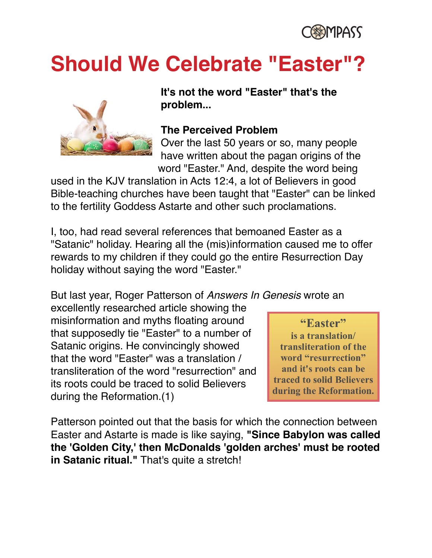

# **Should We Celebrate "Easter"?**



**It's not the word "Easter" that's the problem...**

#### **The Perceived Problem**

Over the last 50 years or so, many people have written about the pagan origins of the word "Easter." And, despite the word being

used in the KJV translation in Acts 12:4, a lot of Believers in good Bible-teaching churches have been taught that "Easter" can be linked to the fertility Goddess Astarte and other such proclamations.

I, too, had read several references that bemoaned Easter as a "Satanic" holiday. Hearing all the (mis)information caused me to offer rewards to my children if they could go the entire Resurrection Day holiday without saying the word "Easter."

But last year, Roger Patterson of *Answers In Genesis* wrote an

excellently researched article showing the misinformation and myths floating around that supposedly tie "Easter" to a number of Satanic origins. He convincingly showed that the word "Easter" was a translation / transliteration of the word "resurrection" and its roots could be traced to solid Believers during the Reformation.(1)

"Easter" is a translation/ transliteration of the word "resurrection" and it's roots can be **traced to solid Believers** during the Reformation.

Patterson pointed out that the basis for which the connection between Easter and Astarte is made is like saying, **"Since Babylon was called the 'Golden City,' then McDonalds 'golden arches' must be rooted**  in Satanic ritual." That's quite a stretch!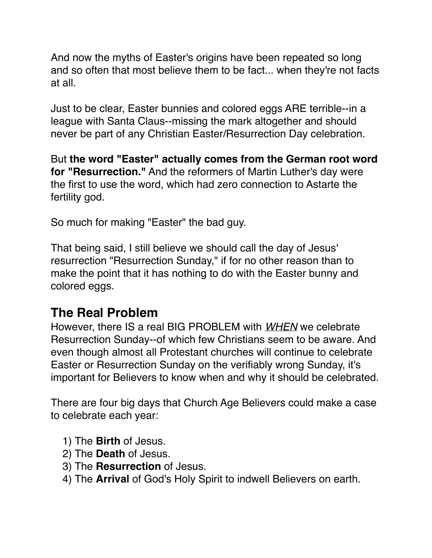And now the myths of Easter's origins have been repeated so long and so often that most believe them to be fact... when they're not facts at all.

Just to be clear, Easter bunnies and colored eggs ARE terrible--in a league with Santa Claus--missing the mark altogether and should never be part of any Christian Easter/Resurrection Day celebration.

But **the word "Easter" actually comes from the German root word for "Resurrection."** And the reformers of Martin Luther's day were the first to use the word, which had zero connection to Astarte the fertility god.

So much for making "Easter" the bad guy.

That being said, I still believe we should call the day of Jesus' resurrection "Resurrection Sunday," if for no other reason than to make the point that it has nothing to do with the Easter bunny and colored eggs.

# **The Real Problem**

However, there IS a real BIG PROBLEM with *WHEN* we celebrate Resurrection Sunday--of which few Christians seem to be aware. And even though almost all Protestant churches will continue to celebrate Easter or Resurrection Sunday on the verifiably wrong Sunday, it's important for Believers to know when and why it should be celebrated.

There are four big days that Church Age Believers could make a case to celebrate each year:

- 1) The **Birth** of Jesus.
- 2) The **Death** of Jesus.
- 3) The **Resurrection** of Jesus.
- 4) The **Arrival** of God's Holy Spirit to indwell Believers on earth.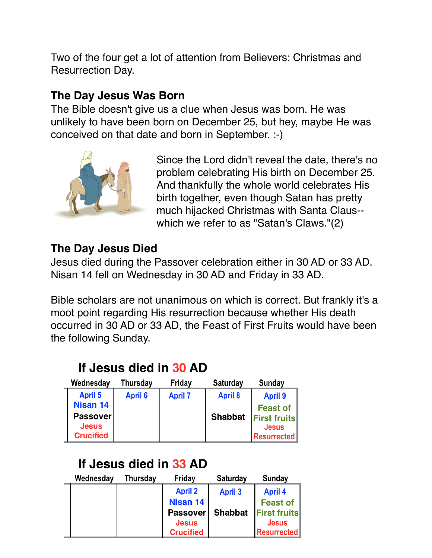Two of the four get a lot of attention from Believers: Christmas and Resurrection Day.

# **The Day Jesus Was Born**

The Bible doesn't give us a clue when Jesus was born. He was unlikely to have been born on December 25, but hey, maybe He was conceived on that date and born in September. :-)



Since the Lord didn't reveal the date, there's no problem celebrating His birth on December 25. And thankfully the whole world celebrates His birth together, even though Satan has pretty much hijacked Christmas with Santa Claus- which we refer to as "Satan's Claws."(2)

# **The Day Jesus Died**

Jesus died during the Passover celebration either in 30 AD or 33 AD. Nisan 14 fell on Wednesday in 30 AD and Friday in 33 AD.

Bible scholars are not unanimous on which is correct. But frankly it's a moot point regarding His resurrection because whether His death occurred in 30 AD or 33 AD, the Feast of First Fruits would have been the following Sunday.

# If Jesus died in 30 AD

| Wednesday        | Thursday       | Friday         | <b>Saturday</b> | <b>Sunday</b>       |
|------------------|----------------|----------------|-----------------|---------------------|
| <b>April 5</b>   | <b>April 6</b> | <b>April 7</b> | <b>April 8</b>  | <b>April 9</b>      |
| <b>Nisan 14</b>  |                |                |                 | <b>Feast of</b>     |
| <b>Passover</b>  |                |                | <b>Shabbat</b>  | <b>First fruits</b> |
| <b>Jesus</b>     |                |                |                 | <b>Jesus</b>        |
| <b>Crucified</b> |                |                |                 | <b>Resurrected</b>  |

# If Jesus died in 33 AD

| Wednesday | <b>Thursday</b> | Friday           | <b>Saturday</b> | <b>Sunday</b>       |
|-----------|-----------------|------------------|-----------------|---------------------|
|           |                 | <b>April 2</b>   | <b>April 3</b>  | <b>April 4</b>      |
|           |                 | Nisan 14         |                 | <b>Feast of</b>     |
|           |                 | Passover         | <b>Shabbat</b>  | <b>First fruits</b> |
|           |                 | <b>Jesus</b>     |                 | <b>Jesus</b>        |
|           |                 | <b>Crucified</b> |                 | <b>Resurrected</b>  |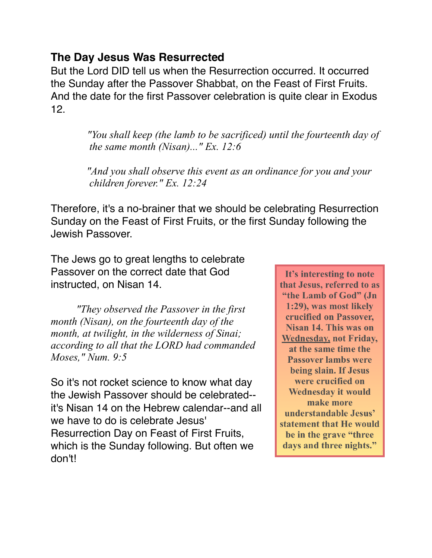### **The Day Jesus Was Resurrected**

But the Lord DID tell us when the Resurrection occurred. It occurred the Sunday after the Passover Shabbat, on the Feast of First Fruits. And the date for the first Passover celebration is quite clear in Exodus 12.

> *"You shall keep (the lamb to be sacrificed) until the fourteenth day of the same month (Nisan)..." Ex. 12:6*

 *"And you shall observe this event as an ordinance for you and your children forever." Ex. 12:24* 

Therefore, it's a no-brainer that we should be celebrating Resurrection Sunday on the Feast of First Fruits, or the first Sunday following the Jewish Passover.

The Jews go to great lengths to celebrate Passover on the correct date that God instructed, on Nisan 14.

*"They observed the Passover in the first month (Nisan), on the fourteenth day of the month, at twilight, in the wilderness of Sinai; according to all that the LORD had commanded Moses," Num. 9:5* 

So it's not rocket science to know what day the Jewish Passover should be celebrated- it's Nisan 14 on the Hebrew calendar--and all we have to do is celebrate Jesus' Resurrection Day on Feast of First Fruits, which is the Sunday following. But often we don't!

It's interesting to note that Jesus, referred to as "the Lamb of God" (Jn 1:29), was most likely crucified on Passover. Nisan 14. This was on **Wednesday, not Friday,** at the same time the **Passover lambs were** being slain. If Jesus were crucified on **Wednesday it would** make more understandable Jesus' statement that He would be in the grave "three" days and three nights."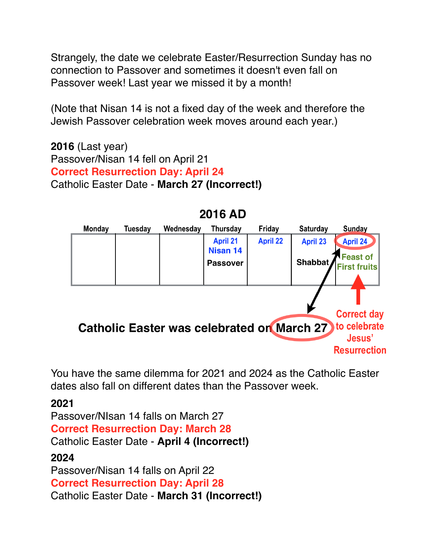Strangely, the date we celebrate Easter/Resurrection Sunday has no connection to Passover and sometimes it doesn't even fall on Passover week! Last year we missed it by a month!

(Note that Nisan 14 is not a fixed day of the week and therefore the Jewish Passover celebration week moves around each year.)

**2016** (Last year) Passover/Nisan 14 fell on April 21 **Correct Resurrection Day: April 24** Catholic Easter Date - **March 27 (Incorrect!)**



2016 AD

You have the same dilemma for 2021 and 2024 as the Catholic Easter dates also fall on different dates than the Passover week.

#### **2021**

Passover/NIsan 14 falls on March 27 **Correct Resurrection Day: March 28** Catholic Easter Date - **April 4 (Incorrect!) 2024** Passover/Nisan 14 falls on April 22 **Correct Resurrection Day: April 28**

Catholic Easter Date - **March 31 (Incorrect!)**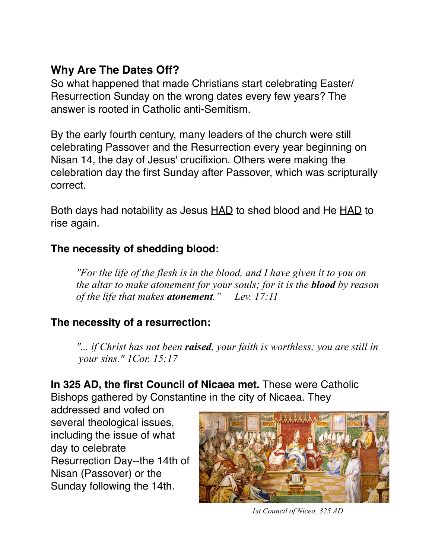# **Why Are The Dates Off?**

So what happened that made Christians start celebrating Easter/ Resurrection Sunday on the wrong dates every few years? The answer is rooted in Catholic anti-Semitism.

By the early fourth century, many leaders of the church were still celebrating Passover and the Resurrection every year beginning on Nisan 14, the day of Jesus' crucifixion. Others were making the celebration day the first Sunday after Passover, which was scripturally correct.

Both days had notability as Jesus HAD to shed blood and He HAD to rise again.

## **The necessity of shedding blood:**

 *"For the life of the flesh is in the blood, and I have given it to you on the altar to make atonement for your souls; for it is the blood by reason of the life that makes atonement." Lev. 17:11* 

# **The necessity of a resurrection:**

 *"... if Christ has not been raised, your faith is worthless; you are still in your sins." 1Cor. 15:17* 

**In 325 AD, the first Council of Nicaea met.** These were Catholic Bishops gathered by Constantine in the city of Nicaea. They

addressed and voted on several theological issues, including the issue of what day to celebrate Resurrection Day--the 14th of Nisan (Passover) or the Sunday following the 14th.



*1st Council of Nicea, 325 AD*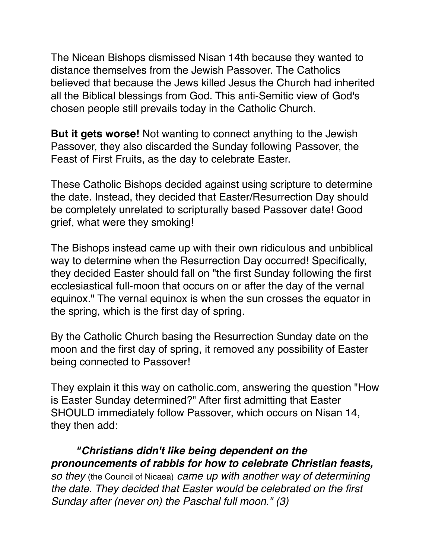The Nicean Bishops dismissed Nisan 14th because they wanted to distance themselves from the Jewish Passover. The Catholics believed that because the Jews killed Jesus the Church had inherited all the Biblical blessings from God. This anti-Semitic view of God's chosen people still prevails today in the Catholic Church.

**But it gets worse!** Not wanting to connect anything to the Jewish Passover, they also discarded the Sunday following Passover, the Feast of First Fruits, as the day to celebrate Easter.

These Catholic Bishops decided against using scripture to determine the date. Instead, they decided that Easter/Resurrection Day should be completely unrelated to scripturally based Passover date! Good grief, what were they smoking!

The Bishops instead came up with their own ridiculous and unbiblical way to determine when the Resurrection Day occurred! Specifically, they decided Easter should fall on "the first Sunday following the first ecclesiastical full-moon that occurs on or after the day of the vernal equinox." The vernal equinox is when the sun crosses the equator in the spring, which is the first day of spring.

By the Catholic Church basing the Resurrection Sunday date on the moon and the first day of spring, it removed any possibility of Easter being connected to Passover!

They explain it this way on catholic.com, answering the question "How is Easter Sunday determined?" After first admitting that Easter SHOULD immediately follow Passover, which occurs on Nisan 14, they then add:

*"Christians didn't like being dependent on the pronouncements of rabbis for how to celebrate Christian feasts, so they* (the Council of Nicaea) *came up with another way of determining the date. They decided that Easter would be celebrated on the first Sunday after (never on) the Paschal full moon." (3)*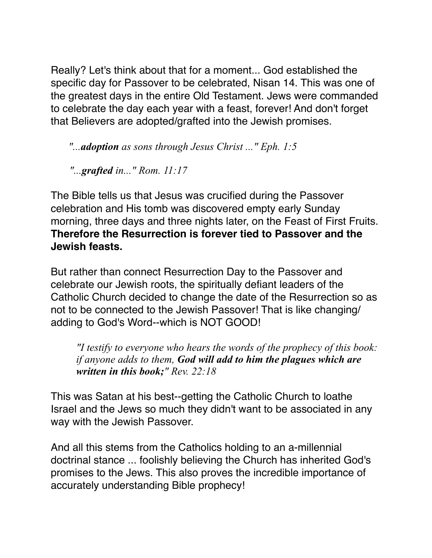Really? Let's think about that for a moment... God established the specific day for Passover to be celebrated, Nisan 14. This was one of the greatest days in the entire Old Testament. Jews were commanded to celebrate the day each year with a feast, forever! And don't forget that Believers are adopted/grafted into the Jewish promises.

*"...adoption as sons through Jesus Christ ..." Eph. 1:5* 

 *"...grafted in..." Rom. 11:17* 

The Bible tells us that Jesus was crucified during the Passover celebration and His tomb was discovered empty early Sunday morning, three days and three nights later, on the Feast of First Fruits. **Therefore the Resurrection is forever tied to Passover and the Jewish feasts.**

But rather than connect Resurrection Day to the Passover and celebrate our Jewish roots, the spiritually defiant leaders of the Catholic Church decided to change the date of the Resurrection so as not to be connected to the Jewish Passover! That is like changing/ adding to God's Word--which is NOT GOOD!

 *"I testify to everyone who hears the words of the prophecy of this book: if anyone adds to them, God will add to him the plagues which are written in this book;" Rev. 22:18* 

This was Satan at his best--getting the Catholic Church to loathe Israel and the Jews so much they didn't want to be associated in any way with the Jewish Passover.

And all this stems from the Catholics holding to an a-millennial doctrinal stance ... foolishly believing the Church has inherited God's promises to the Jews. This also proves the incredible importance of accurately understanding Bible prophecy!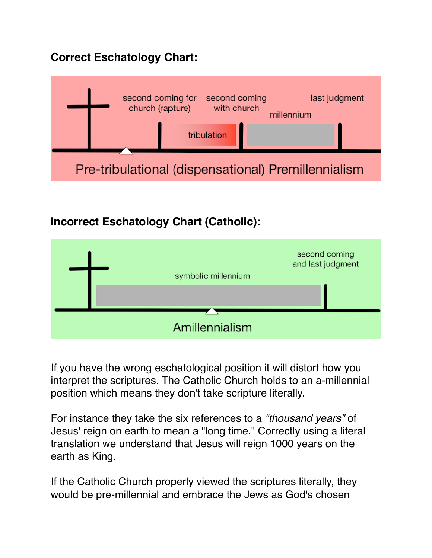# **Correct Eschatology Chart:**



# **Incorrect Eschatology Chart (Catholic):**



If you have the wrong eschatological position it will distort how you interpret the scriptures. The Catholic Church holds to an a-millennial position which means they don't take scripture literally.

For instance they take the six references to a *"thousand years"* of Jesus' reign on earth to mean a "long time." Correctly using a literal translation we understand that Jesus will reign 1000 years on the earth as King.

If the Catholic Church properly viewed the scriptures literally, they would be pre-millennial and embrace the Jews as God's chosen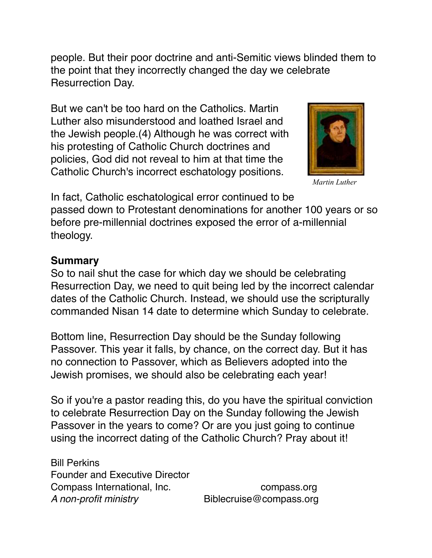people. But their poor doctrine and anti-Semitic views blinded them to the point that they incorrectly changed the day we celebrate Resurrection Day.

But we can't be too hard on the Catholics. Martin Luther also misunderstood and loathed Israel and the Jewish people.(4) Although he was correct with his protesting of Catholic Church doctrines and policies, God did not reveal to him at that time the Catholic Church's incorrect eschatology positions.



*Martin Luther*

In fact, Catholic eschatological error continued to be passed down to Protestant denominations for another 100 years or so before pre-millennial doctrines exposed the error of a-millennial theology.

#### **Summary**

So to nail shut the case for which day we should be celebrating Resurrection Day, we need to quit being led by the incorrect calendar dates of the Catholic Church. Instead, we should use the scripturally commanded Nisan 14 date to determine which Sunday to celebrate.

Bottom line, Resurrection Day should be the Sunday following Passover. This year it falls, by chance, on the correct day. But it has no connection to Passover, which as Believers adopted into the Jewish promises, we should also be celebrating each year!

So if you're a pastor reading this, do you have the spiritual conviction to celebrate Resurrection Day on the Sunday following the Jewish Passover in the years to come? Or are you just going to continue using the incorrect dating of the Catholic Church? Pray about it!

Bill Perkins Founder and Executive Director Compass International, Inc. The compass.org *A non-profit ministry* Biblecruise@compass.org